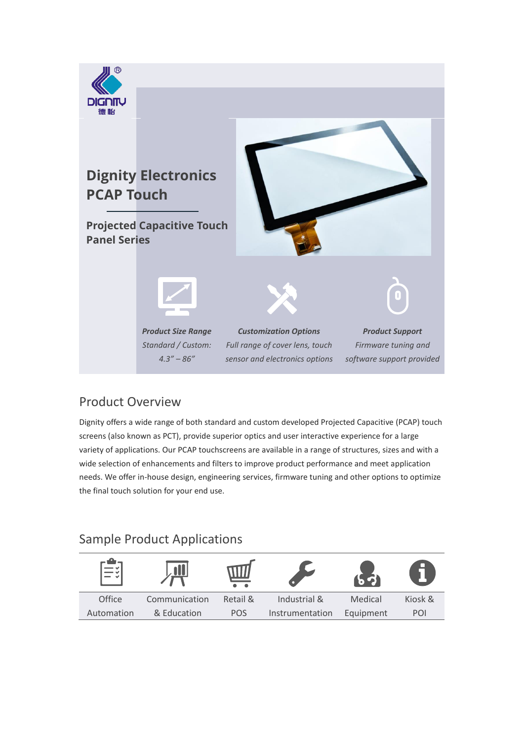

## Product Overview

Dignity offers a wide range of both standard and custom developed Projected Capacitive (PCAP) touch screens (also known as PCT), provide superior optics and user interactive experience for a large variety of applications. Our PCAP touchscreens are available in a range of structures, sizes and with a wide selection of enhancements and filters to improve product performance and meet application needs. We offer in-house design, engineering services, firmware tuning and other options to optimize the final touch solution for your end use.

# Sample Product Applications

| −<br>⊟∛    | $\blacksquare$ |            |                 |           | <b>D</b> |
|------------|----------------|------------|-----------------|-----------|----------|
| Office     | Communication  | Retail &   | Industrial &    | Medical   | Kiosk &  |
| Automation | & Education    | <b>POS</b> | Instrumentation | Equipment | POI      |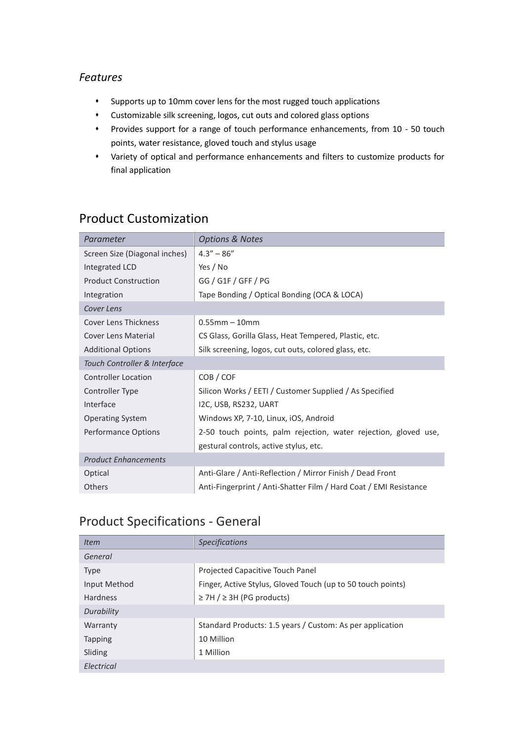#### *Features*

- ⬧ Supports up to 10mm cover lens for the most rugged touch applications
- ⬧ Customizable silk screening, logos, cut outs and colored glass options
- ⬧ Provides support for a range of touch performance enhancements, from 10 50 touch points, water resistance, gloved touch and stylus usage
- ⬧ Variety of optical and performance enhancements and filters to customize products for final application

| Parameter                     | <b>Options &amp; Notes</b>                                        |  |  |
|-------------------------------|-------------------------------------------------------------------|--|--|
| Screen Size (Diagonal inches) | $4.3'' - 86''$                                                    |  |  |
| Integrated LCD                | Yes / No                                                          |  |  |
| <b>Product Construction</b>   | GG / G1F / GFF / PG                                               |  |  |
| Integration                   | Tape Bonding / Optical Bonding (OCA & LOCA)                       |  |  |
| Cover Lens                    |                                                                   |  |  |
| <b>Cover Lens Thickness</b>   | $0.55$ mm $-10$ mm                                                |  |  |
| Cover Lens Material           | CS Glass, Gorilla Glass, Heat Tempered, Plastic, etc.             |  |  |
| <b>Additional Options</b>     | Silk screening, logos, cut outs, colored glass, etc.              |  |  |
| Touch Controller & Interface  |                                                                   |  |  |
| <b>Controller Location</b>    | COB / COF                                                         |  |  |
| Controller Type               | Silicon Works / EETI / Customer Supplied / As Specified           |  |  |
| Interface                     | I2C, USB, RS232, UART                                             |  |  |
| <b>Operating System</b>       | Windows XP, 7-10, Linux, iOS, Android                             |  |  |
| Performance Options           | 2-50 touch points, palm rejection, water rejection, gloved use,   |  |  |
|                               | gestural controls, active stylus, etc.                            |  |  |
| <b>Product Enhancements</b>   |                                                                   |  |  |
| Optical                       | Anti-Glare / Anti-Reflection / Mirror Finish / Dead Front         |  |  |
| <b>Others</b>                 | Anti-Fingerprint / Anti-Shatter Film / Hard Coat / EMI Resistance |  |  |

## Product Customization

# Product Specifications - General

| <b>Item</b>     | <b>Specifications</b>                                       |
|-----------------|-------------------------------------------------------------|
| General         |                                                             |
| <b>Type</b>     | Projected Capacitive Touch Panel                            |
| Input Method    | Finger, Active Stylus, Gloved Touch (up to 50 touch points) |
| <b>Hardness</b> | $\ge$ 7H / $\ge$ 3H (PG products)                           |
| Durability      |                                                             |
| Warranty        | Standard Products: 1.5 years / Custom: As per application   |
| <b>Tapping</b>  | 10 Million                                                  |
| Sliding         | 1 Million                                                   |
| Electrical      |                                                             |